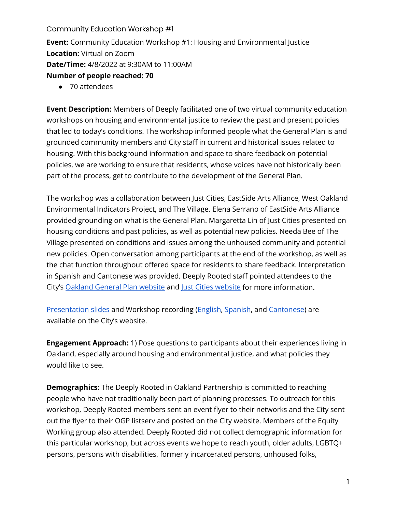Community Education Workshop #1 **Event:** Community Education Workshop #1: Housing and Environmental Justice **Location:** Virtual on Zoom **Date/Time:** 4/8/2022 at 9:30AM to 11:00AM **Number of people reached: 70** 

● 70 attendees

**Event Description:** Members of Deeply facilitated one of two virtual community education workshops on housing and environmental justice to review the past and present policies that led to today's conditions. The workshop informed people what the General Plan is and grounded community members and City staff in current and historical issues related to housing. With this background information and space to share feedback on potential policies, we are working to ensure that residents, whose voices have not historically been part of the process, get to contribute to the development of the General Plan.

The workshop was a collaboration between Just Cities, EastSide Arts Alliance, West Oakland Environmental Indicators Project, and The Village. Elena Serrano of EastSide Arts Alliance provided grounding on what is the General Plan. Margaretta Lin of Just Cities presented on housing conditions and past policies, as well as potential new policies. Needa Bee of The Village presented on conditions and issues among the unhoused community and potential new policies. Open conversation among participants at the end of the workshop, as well as the chat function throughout offered space for residents to share feedback. Interpretation in Spanish and Cantonese was provided. Deeply Rooted staff pointed attendees to the City's [Oakland General Plan website](https://www.oaklandca.gov/topics/general-plan-update) and [Just Cities website](https://www.justcities.work/ogp) for more information.

[Presentation slides](https://cao-94612.s3.amazonaws.com/documents/DR-April-Workshop-Housing-EJ-slides_2022_0408-1.pdf) and Workshop recording [\(English,](https://youtu.be/80NCZGPSTLo) [Spanish,](https://youtu.be/ip_w5YfbsKA) and [Cantonese\)](https://youtu.be/SAR8unHci84) are available on the City's website.

**Engagement Approach:** 1) Pose questions to participants about their experiences living in Oakland, especially around housing and environmental justice, and what policies they would like to see.

**Demographics:** The Deeply Rooted in Oakland Partnership is committed to reaching people who have not traditionally been part of planning processes. To outreach for this workshop, Deeply Rooted members sent an event flyer to their networks and the City sent out the flyer to their OGP listserv and posted on the City website. Members of the Equity Working group also attended. Deeply Rooted did not collect demographic information for this particular workshop, but across events we hope to reach youth, older adults, LGBTQ+ persons, persons with disabilities, formerly incarcerated persons, unhoused folks,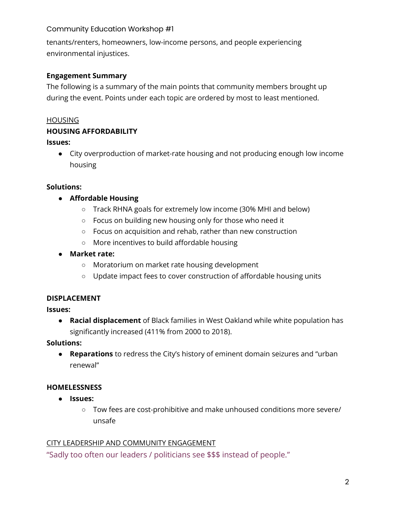tenants/renters, homeowners, low-income persons, and people experiencing environmental injustices.

### **Engagement Summary**

The following is a summary of the main points that community members brought up during the event. Points under each topic are ordered by most to least mentioned.

### HOUSING

### **HOUSING AFFORDABILITY**

#### **Issues:**

● City overproduction of market-rate housing and not producing enough low income housing

### **Solutions:**

- **Affordable Housing**
	- Track RHNA goals for extremely low income (30% MHI and below)
	- Focus on building new housing only for those who need it
	- Focus on acquisition and rehab, rather than new construction
	- More incentives to build affordable housing
- **Market rate:**
	- Moratorium on market rate housing development
	- Update impact fees to cover construction of affordable housing units

## **DISPLACEMENT**

#### **Issues:**

● **Racial displacement** of Black families in West Oakland while white population has significantly increased (411% from 2000 to 2018).

#### **Solutions:**

● **Reparations** to redress the City's history of eminent domain seizures and "urban renewal"

## **HOMELESSNESS**

- **Issues:** 
	- Tow fees are cost-prohibitive and make unhoused conditions more severe/ unsafe

#### CITY LEADERSHIP AND COMMUNITY ENGAGEMENT

"Sadly too often our leaders / politicians see \$\$\$ instead of people."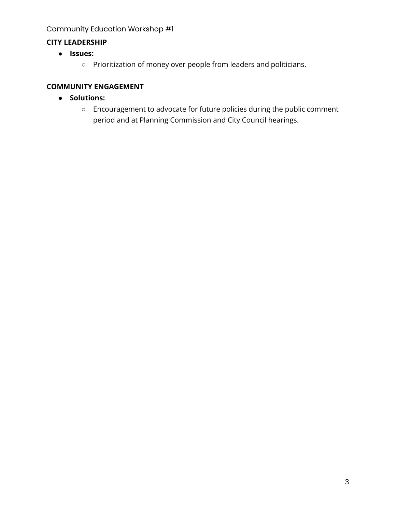# **CITY LEADERSHIP**

- **Issues:**
	- Prioritization of money over people from leaders and politicians.

# **COMMUNITY ENGAGEMENT**

- **Solutions:**
	- Encouragement to advocate for future policies during the public comment period and at Planning Commission and City Council hearings.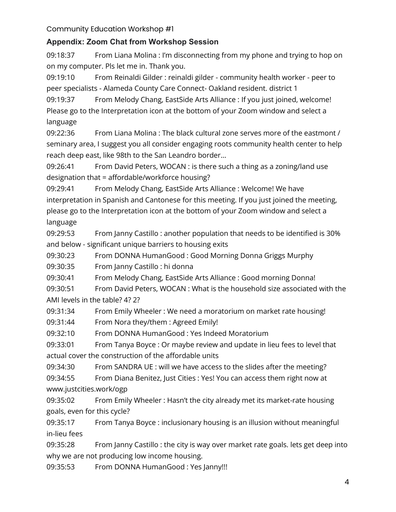# **Appendix: Zoom Chat from Workshop Session**

09:18:37 From Liana Molina : I'm disconnecting from my phone and trying to hop on on my computer. Pls let me in. Thank you.

09:19:10 From Reinaldi Gilder : reinaldi gilder - community health worker - peer to peer specialists - Alameda County Care Connect- Oakland resident. district 1

09:19:37 From Melody Chang, EastSide Arts Alliance : If you just joined, welcome! Please go to the Interpretation icon at the bottom of your Zoom window and select a language

09:22:36 From Liana Molina : The black cultural zone serves more of the eastmont / seminary area, I suggest you all consider engaging roots community health center to help reach deep east, like 98th to the San Leandro border…

09:26:41 From David Peters, WOCAN : is there such a thing as a zoning/land use designation that = affordable/workforce housing?

09:29:41 From Melody Chang, EastSide Arts Alliance : Welcome! We have interpretation in Spanish and Cantonese for this meeting. If you just joined the meeting, please go to the Interpretation icon at the bottom of your Zoom window and select a language

09:29:53 From Janny Castillo : another population that needs to be identified is 30% and below - significant unique barriers to housing exits

09:30:23 From DONNA HumanGood : Good Morning Donna Griggs Murphy

09:30:35 From Janny Castillo : hi donna

09:30:41 From Melody Chang, EastSide Arts Alliance : Good morning Donna!

09:30:51 From David Peters, WOCAN : What is the household size associated with the AMI levels in the table? 4? 2?

09:31:34 From Emily Wheeler : We need a moratorium on market rate housing!

09:31:44 From Nora they/them : Agreed Emily!

09:32:10 From DONNA HumanGood : Yes Indeed Moratorium

09:33:01 From Tanya Boyce : Or maybe review and update in lieu fees to level that actual cover the construction of the affordable units

09:34:30 From SANDRA UE : will we have access to the slides after the meeting?

09:34:55 From Diana Benitez, Just Cities : Yes! You can access them right now at www.justcities.work/ogp

09:35:02 From Emily Wheeler : Hasn't the city already met its market-rate housing goals, even for this cycle?

09:35:17 From Tanya Boyce : inclusionary housing is an illusion without meaningful in-lieu fees

09:35:28 From Janny Castillo : the city is way over market rate goals. lets get deep into why we are not producing low income housing.

09:35:53 From DONNA HumanGood : Yes Janny!!!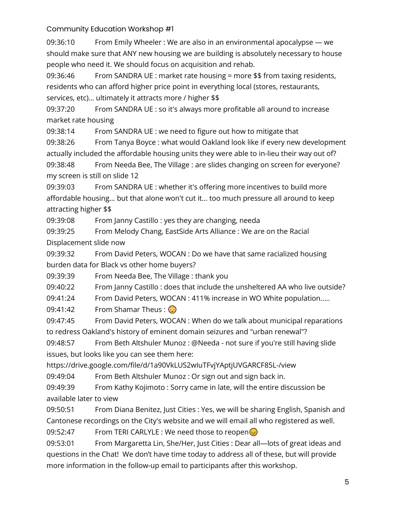09:36:10 From Emily Wheeler : We are also in an environmental apocalypse — we should make sure that ANY new housing we are building is absolutely necessary to house people who need it. We should focus on acquisition and rehab.

09:36:46 From SANDRA UE : market rate housing = more \$\$ from taxing residents, residents who can afford higher price point in everything local (stores, restaurants, services, etc)… ultimately it attracts more / higher \$\$

09:37:20 From SANDRA UE : so it's always more profitable all around to increase market rate housing

09:38:14 From SANDRA UE : we need to figure out how to mitigate that

09:38:26 From Tanya Boyce : what would Oakland look like if every new development actually included the affordable housing units they were able to in-lieu their way out of?

09:38:48 From Needa Bee, The Village : are slides changing on screen for everyone? my screen is still on slide 12

09:39:03 From SANDRA UE : whether it's offering more incentives to build more affordable housing... but that alone won't cut it... too much pressure all around to keep attracting higher \$\$

09:39:08 From Janny Castillo : yes they are changing, needa

09:39:25 From Melody Chang, EastSide Arts Alliance : We are on the Racial Displacement slide now

09:39:32 From David Peters, WOCAN : Do we have that same racialized housing burden data for Black vs other home buyers?

09:39:39 From Needa Bee, The Village : thank you

09:40:22 From Janny Castillo : does that include the unsheltered AA who live outside?

09:41:24 From David Peters, WOCAN : 411% increase in WO White population.....

09:41:42 From Shamar Theus :  $\odot$ 

09:47:45 From David Peters, WOCAN : When do we talk about municipal reparations to redress Oakland's history of eminent domain seizures and "urban renewal"?

09:48:57 From Beth Altshuler Munoz : @Needa - not sure if you're still having slide issues, but looks like you can see them here:

https://drive.google.com/file/d/1a90VkLUS2wIuTFvjYAptjUVGARCF85L-/view

09:49:04 From Beth Altshuler Munoz : Or sign out and sign back in.

09:49:39 From Kathy Kojimoto : Sorry came in late, will the entire discussion be available later to view

09:50:51 From Diana Benitez, Just Cities : Yes, we will be sharing English, Spanish and Cantonese recordings on the City's website and we will email all who registered as well.

09:52:47 From TERI CARLYLE : We need those to reopen

09:53:01 From Margaretta Lin, She/Her, Just Cities : Dear all—lots of great ideas and questions in the Chat! We don't have time today to address all of these, but will provide more information in the follow-up email to participants after this workshop.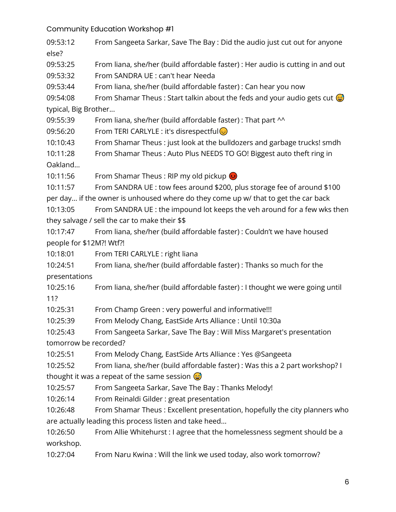09:53:12 From Sangeeta Sarkar, Save The Bay : Did the audio just cut out for anyone else? 09:53:25 From liana, she/her (build affordable faster) : Her audio is cutting in and out 09:53:32 From SANDRA UE : can't hear Needa 09:53:44 From liana, she/her (build affordable faster) : Can hear you now 09:54:08 From Shamar Theus : Start talkin about the feds and your audio gets cut  $\odot$ typical, Big Brother... 09:55:39 From liana, she/her (build affordable faster) : That part  $\wedge\wedge$ 09:56:20 From TERI CARLYLE : it's disrespectful 10:10:43 From Shamar Theus : just look at the bulldozers and garbage trucks! smdh 10:11:28 From Shamar Theus : Auto Plus NEEDS TO GO! Biggest auto theft ring in Oakland... 10:11:56 From Shamar Theus : RIP my old pickup 10:11:57 From SANDRA UE : tow fees around \$200, plus storage fee of around \$100 per day... if the owner is unhoused where do they come up w/ that to get the car back 10:13:05 From SANDRA UE : the impound lot keeps the veh around for a few wks then they salvage / sell the car to make their \$\$ 10:17:47 From liana, she/her (build affordable faster) : Couldn't we have housed people for \$12M?! Wtf?! 10:18:01 From TERI CARLYLE : right liana 10:24:51 From liana, she/her (build affordable faster) : Thanks so much for the presentations 10:25:16 From liana, she/her (build affordable faster) : I thought we were going until 11? 10:25:31 From Champ Green : very powerful and informative!!! 10:25:39 From Melody Chang, EastSide Arts Alliance : Until 10:30a 10:25:43 From Sangeeta Sarkar, Save The Bay : Will Miss Margaret's presentation tomorrow be recorded? 10:25:51 From Melody Chang, EastSide Arts Alliance : Yes @Sangeeta 10:25:52 From liana, she/her (build affordable faster) : Was this a 2 part workshop? I thought it was a repeat of the same session  $\odot$ 10:25:57 From Sangeeta Sarkar, Save The Bay : Thanks Melody! 10:26:14 From Reinaldi Gilder : great presentation 10:26:48 From Shamar Theus : Excellent presentation, hopefully the city planners who are actually leading this process listen and take heed... 10:26:50 From Allie Whitehurst : I agree that the homelessness segment should be a workshop.

10:27:04 From Naru Kwina : Will the link we used today, also work tomorrow?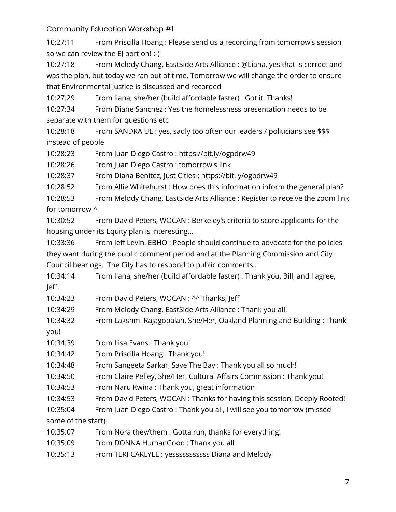10:27:11 From Priscilla Hoang : Please send us a recording from tomorrow's session so we can review the EJ portion! :-)

10:27:18 From Melody Chang, EastSide Arts Alliance : @Liana, yes that is correct and was the plan, but today we ran out of time. Tomorrow we will change the order to ensure that Environmental Justice is discussed and recorded

10:27:29 From liana, she/her (build affordable faster) : Got it. Thanks!

10:27:34 From Diane Sanchez : Yes the homelessness presentation needs to be separate with them for questions etc

10:28:18 From SANDRA UE : yes, sadly too often our leaders / politicians see \$\$\$ instead of people

10:28:23 From Juan Diego Castro : https://bit.ly/ogpdrw49

10:28:26 From Juan Diego Castro : tomorrow's link

10:28:37 From Diana Benitez, Just Cities : https://bit.ly/ogpdrw49

10:28:52 From Allie Whitehurst : How does this information inform the general plan?

10:28:53 From Melody Chang, EastSide Arts Alliance : Register to receive the zoom link for tomorrow ^

10:30:52 From David Peters, WOCAN : Berkeley's criteria to score applicants for the housing under its Equity plan is interesting...

10:33:36 From Jeff Levin, EBHO : People should continue to advocate for the policies they want during the public comment period and at the Planning Commission and City Council hearings. The City has to respond to public comments..

10:34:14 From liana, she/her (build affordable faster) : Thank you, Bill, and I agree, Jeff.

10:34:23 From David Peters, WOCAN : ^^ Thanks, Jeff

10:34:29 From Melody Chang, EastSide Arts Alliance : Thank you all!

- 10:34:32 From Lakshmi Rajagopalan, She/Her, Oakland Planning and Building : Thank
- you!

10:34:39 From Lisa Evans : Thank you!

10:34:42 From Priscilla Hoang : Thank you!

10:34:48 From Sangeeta Sarkar, Save The Bay : Thank you all so much!

10:34:50 From Claire Pelley, She/Her, Cultural Affairs Commission : Thank you!

10:34:53 From Naru Kwina : Thank you, great information

10:34:53 From David Peters, WOCAN : Thanks for having this session, Deeply Rooted!

10:35:04 From Juan Diego Castro : Thank you all, I will see you tomorrow (missed

some of the start)

10:35:07 From Nora they/them : Gotta run, thanks for everything!

- 10:35:09 From DONNA HumanGood : Thank you all
- 10:35:13 From TERI CARLYLE : yesssssssssss Diana and Melody